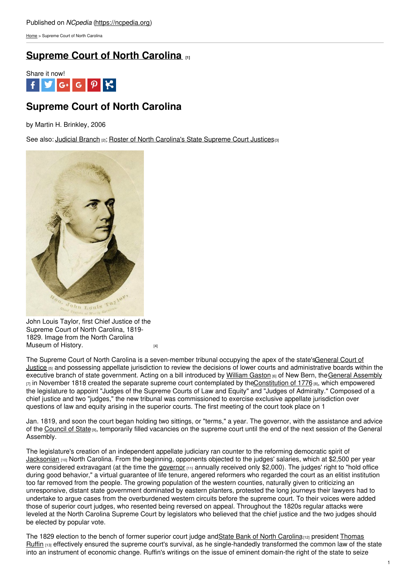[Home](https://ncpedia.org/) > Supreme Court of North Carolina

## **[Supreme](https://ncpedia.org/supreme-court-north-carolina) Court of North Carolina [1]**



# **Supreme Court of North Carolina**

by Martin H. Brinkley, 2006

See also: [Judicial](https://ncpedia.org/government/state/judicial) Branch [2]; Roster of North [Carolina's](https://ncpedia.org/sites/default/files//print_pdf/NCpedia_nc_supreme_court_justices_web.pdf) State Supreme Court Justices[3]



John Louis Taylor, first Chief Justice of the Supreme Court of North Carolina, 1819- 1829. Image from the North Carolina [Museum](http://collections.ncdcr.gov/RediscoveryProficioPublicSearch/ShowItem.aspx?14375+) of History.

The Supreme Court of North Carolina is a [seven-member](https://ncpedia.org/general-court-north-carolina) tribunal occupying the apex of the state'sGeneral Court of Justice [5] and possessing appellate jurisdiction to review the decisions of lower courts and administrative boards within the executive branch of state government. Acting on a bill introduced by [William](https://docsouth.unc.edu/browse/bios/pn0000574_bio.html) Gaston [6] of New Bern, the General [Assembly](https://ncpedia.org/general-assembly)  $\overline{7}$  in November 1818 created the separate supreme court contemplated by th[eConstitution](https://ncpedia.org/government/nc-constitution-history) of 1776 [8], which empowered the legislature to appoint "Judges of the Supreme Courts of Law and Equity" and "Judges of Admiralty." Composed of a chief justice and two "judges," the new tribunal was commissioned to exercise exclusive appellate jurisdiction over questions of law and equity arising in the superior courts. The first meeting of the court took place on 1

Jan. 1819, and soon the court began holding two sittings, or "terms," a year. The governor, with the assistance and advice of the [Council](https://ncpedia.org/council-state) of State [9], temporarily filled vacancies on the supreme court until the end of the next session of the General Assembly.

The legislature's creation of an independent appellate judiciary ran counter to the reforming democratic spirit of [Jacksonian](https://ncpedia.org/jackson-andrew-unc-press-dncb) [10] North Carolina. From the beginning, opponents objected to the judges' salaries, which at \$2,500 per year were considered extravagant (at the time the [governor](https://ncpedia.org/government/governorship)  $[11]$  annually received only \$2,000). The judges' right to "hold office during good behavior," a virtual guarantee of life tenure, angered reformers who regarded the court as an elitist institution too far removed from the people. The growing population of the western counties, naturally given to criticizing an unresponsive, distant state government dominated by eastern planters, protested the long journeys their lawyers had to undertake to argue cases from the overburdened western circuits before the supreme court. To their voices were added those of superior court judges, who resented being reversed on appeal. Throughout the 1820s regular attacks were leveled at the North Carolina Supreme Court by legislators who believed that the chief justice and the two judges should be elected by popular vote.

The 1829 election to the bench of former superior court judge andState Bank of North [Carolina](https://ncpedia.org/state-bank-north-carolina)<sub>[12]</sub> president Thomas Ruffin [13] effectively ensured the supreme court's survival, as he [single-handedly](https://archive.org/stream/lifecharacterofh00grah#page/n5/mode/2up) transformed the common law of the state into an instrument of economic change. Ruffin's writings on the issue of eminent domain-the right of the state to seize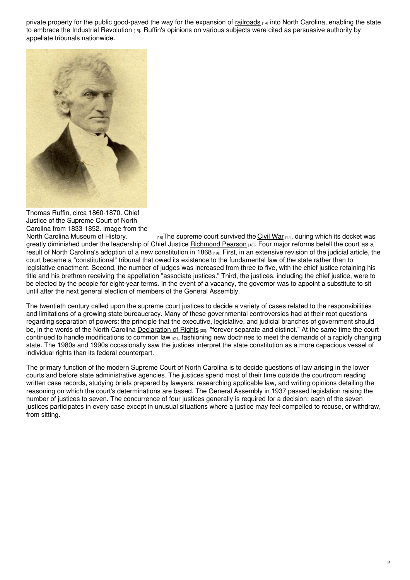private property for the public good-paved the way for the expansion of [railroads](https://ncpedia.org/railroads) [14] into North Carolina, enabling the state to embrace the Industrial [Revolution](https://ncpedia.org/category/subjects/nc-industrial-rev) [15]. Ruffin's opinions on various subjects were cited as persuasive authority by appellate tribunals nationwide.



Thomas Ruffin, circa 1860-1870. Chief Justice of the Supreme Court of North Carolina from 1833-1852. Image from the

 $H_1$ <sub>[16]</sub>The supreme court survived the [Civil](https://ncpedia.org/history/cw-1900/civil-war) War  $H_1$ <sub>7</sub>], during which its docket was greatly diminished under the leadership of Chief Justice [Richmond](https://ncpedia.org/biography/pearson-richmond-mumford) Pearson [18]. Four major reforms befell the court as a result of North Carolina's adoption of a new [constitution](https://ncpedia.org/government/convention-1868) in 1868 [19]. First, in an extensive revision of the judicial article, the court became a "constitutional" tribunal that owed its existence to the fundamental law of the state rather than to legislative enactment. Second, the number of judges was increased from three to five, with the chief justice retaining his title and his brethren receiving the appellation "associate justices." Third, the justices, including the chief justice, were to be elected by the people for eight-year terms. In the event of a vacancy, the governor was to appoint a substitute to sit until after the next general election of members of the General Assembly.

The twentieth century called upon the supreme court justices to decide a variety of cases related to the responsibilities and limitations of a growing state bureaucracy. Many of these governmental controversies had at their root questions regarding separation of powers: the principle that the executive, legislative, and judicial branches of government should be, in the words of the North Carolina [Declaration](https://ncpedia.org/declaration-rights) of Rights  $[20]$ , "forever separate and distinct." At the same time the court continued to handle modifications to [common](https://ncpedia.org/common-law) law [21], fashioning new doctrines to meet the demands of a rapidly changing state. The 1980s and 1990s occasionally saw the justices interpret the state constitution as a more capacious vessel of individual rights than its federal counterpart.

The primary function of the modern Supreme Court of North Carolina is to decide questions of law arising in the lower courts and before state administrative agencies. The justices spend most of their time outside the courtroom reading written case records, studying briefs prepared by lawyers, researching applicable law, and writing opinions detailing the reasoning on which the court's determinations are based. The General Assembly in 1937 passed legislation raising the number of justices to seven. The concurrence of four justices generally is required for a decision; each of the seven justices participates in every case except in unusual situations where a justice may feel compelled to recuse, or withdraw, from sitting.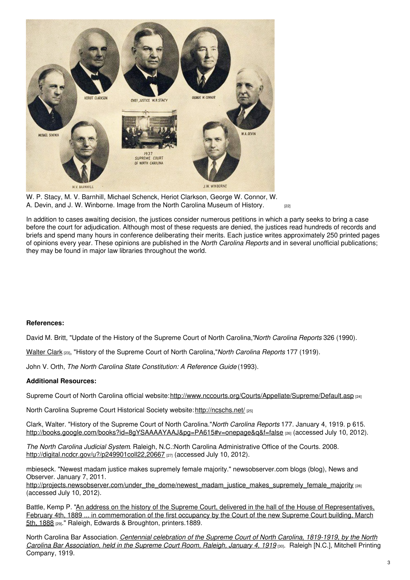

W. P. Stacy, M. V. Barnhill, Michael Schenck, Heriot Clarkson, George W. Connor, W. A. Devin, and J. W. [Winborne.](http://collections.ncdcr.gov/RediscoveryProficioPublicSearch/ShowItem.aspx?67712+) Image from the North Carolina Museum of History. [22]

In addition to cases awaiting decision, the justices consider numerous petitions in which a party seeks to bring a case before the court for adjudication. Although most of these requests are denied, the justices read hundreds of records and briefs and spend many hours in conference deliberating their merits. Each justice writes approximately 250 printed pages of opinions every year. These opinions are published in the *North Carolina Reports* and in several unofficial publications; they may be found in major law libraries throughout the world.

#### **References:**

David M. Britt, "Update of the History of the Supreme Court of North Carolina,"*North Carolina Reports* 326 (1990).

[Walter](https://ncpedia.org/biography/clark-walter-mckenzie) Clark [23], "History of the Supreme Court of North Carolina,"*North Carolina Reports* 177 (1919).

John V. Orth, *The North Carolina State Constitution: A Reference Guide* (1993).

#### **Additional Resources:**

Supreme Court of North Carolina official website: <http://www.nccourts.org/Courts/Appellate/Supreme/Default.asp> [24]

North Carolina Supreme Court Historical Society website: <http://ncschs.net/> [25]

Clark, Walter. "History of the Supreme Court of North Carolina."*North Carolina Reports* 177. January 4, 1919. p 615. <http://books.google.com/books?id=8gYSAAAAYAAJ&pg=PA615#v=onepage&q&f=false> [26] (accessed July 10, 2012).

*The North Carolina Judicial System*. Raleigh, N.C.:North Carolina Administrative Office of the Courts. 2008. <http://digital.ncdcr.gov/u?/p249901coll22,20667> [27] (accessed July 10, 2012).

mbieseck. "Newest madam justice makes supremely female majority." newsobserver.com blogs (blog), News and Observer. January 7, 2011.

[http://projects.newsobserver.com/under\\_the\\_dome/newest\\_madam\\_justice\\_makes\\_supremely\\_female\\_majority](http://projects.newsobserver.com/under_the_dome/newest_madam_justice_makes_supremely_female_majority) [28] (accessed July 10, 2012).

Battle, Kemp P. "An address on the history of the Supreme Court, delivered in the hall of the House of [Representatives,](https://www.worldcat.org/oclc/7050625) February 4th, 1889 ... in commemoration of the first occupancy by the Court of the new Supreme Court building, March 5th, 1888 [29]." Raleigh, Edwards & Broughton, printers.1889.

North Carolina Bar [Association.](https://www.worldcat.org/oclc/6771543) *Centennial celebration of the Supreme Court of North Carolina, 1819-1919, by the North Carolina Bar Association, held in the Supreme Court Room, Raleigh, January 4, 1919* [30]. Raleigh [N.C.], Mitchell Printing Company, 1919.